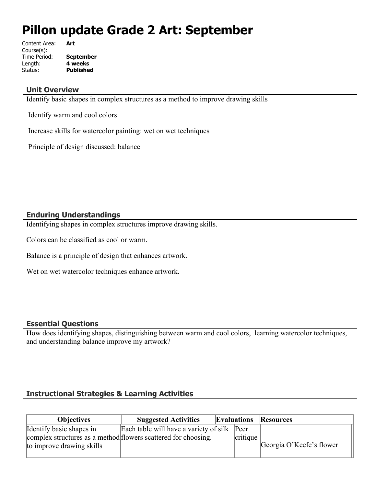# **Pillon update Grade 2 Art: September**

| <b>September</b> |
|------------------|
|                  |
| <b>Published</b> |
|                  |

#### **Unit Overview**

Identify basic shapes in complex structures as a method to improve drawing skills

Identify warm and cool colors

Increase skills for watercolor painting: wet on wet techniques

Principle of design discussed: balance

## **Enduring Understandings**

Identifying shapes in complex structures improve drawing skills.

Colors can be classified as cool or warm.

Balance is a principle of design that enhances artwork.

Wet on wet watercolor techniques enhance artwork.

#### **Essential Questions**

How does identifying shapes, distinguishing between warm and cool colors, learning watercolor techniques, and understanding balance improve my artwork?

# **Instructional Strategies & Learning Activities**

| <b>Objectives</b>                                              | <b>Suggested Activities</b>                 | <b>Evaluations</b> |          | <b>Resources</b>         |
|----------------------------------------------------------------|---------------------------------------------|--------------------|----------|--------------------------|
| Identify basic shapes in                                       | Each table will have a variety of silk Peer |                    |          |                          |
| complex structures as a method flowers scattered for choosing. |                                             |                    | critique |                          |
| to improve drawing skills                                      |                                             |                    |          | Georgia O'Keefe's flower |
|                                                                |                                             |                    |          |                          |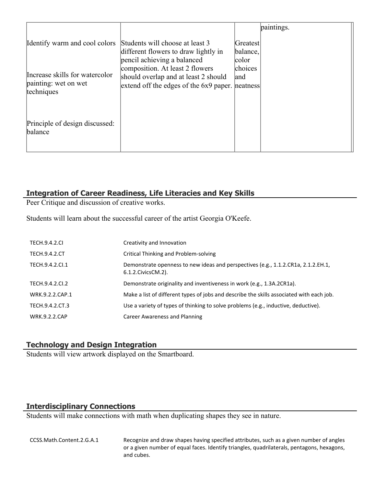|                                                                      |                                                                                                                            |                               | paintings. |
|----------------------------------------------------------------------|----------------------------------------------------------------------------------------------------------------------------|-------------------------------|------------|
| Identify warm and cool colors                                        | Students will choose at least 3<br>different flowers to draw lightly in<br>pencil achieving a balanced                     | Greatest<br>balance,<br>color |            |
| Increase skills for watercolor<br>painting: wet on wet<br>techniques | composition. At least 2 flowers<br>should overlap and at least 2 should<br>extend off the edges of the 6x9 paper. neatness | choices<br>and                |            |
| Principle of design discussed:<br>balance                            |                                                                                                                            |                               |            |

## **Integration of Career Readiness, Life Literacies and Key Skills**

Peer Critique and discussion of creative works.

Students will learn about the successful career of the artist Georgia O'Keefe.

| <b>TECH.9.4.2.CI</b> | Creativity and Innovation                                                                                  |
|----------------------|------------------------------------------------------------------------------------------------------------|
| TECH.9.4.2.CT        | Critical Thinking and Problem-solving                                                                      |
| TECH.9.4.2.Cl.1      | Demonstrate openness to new ideas and perspectives (e.g., 1.1.2.CR1a, 2.1.2.EH.1,<br>6.1.2. Civics CM. 2). |
| TECH.9.4.2.CI.2      | Demonstrate originality and inventiveness in work (e.g., 1.3A.2CR1a).                                      |
| WRK.9.2.2.CAP.1      | Make a list of different types of jobs and describe the skills associated with each job.                   |
| TECH.9.4.2.CT.3      | Use a variety of types of thinking to solve problems (e.g., inductive, deductive).                         |
| <b>WRK.9.2.2.CAP</b> | Career Awareness and Planning                                                                              |

## **Technology and Design Integration**

Students will view artwork displayed on the Smartboard.

# **Interdisciplinary Connections**

Students will make connections with math when duplicating shapes they see in nature.

CCSS.Math.Content.2.G.A.1 Recognize and draw shapes having specified attributes, such as a given number of angles or a given number of equal faces. Identify triangles, quadrilaterals, pentagons, hexagons, and cubes.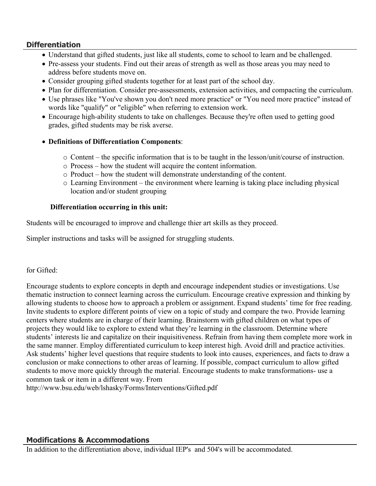## **Differentiation**

- Understand that gifted students, just like all students, come to school to learn and be challenged.
- Pre-assess your students. Find out their areas of strength as well as those areas you may need to address before students move on.
- Consider grouping gifted students together for at least part of the school day.
- Plan for differentiation. Consider pre-assessments, extension activities, and compacting the curriculum.
- Use phrases like "You've shown you don't need more practice" or "You need more practice" instead of words like "qualify" or "eligible" when referring to extension work.
- Encourage high-ability students to take on challenges. Because they're often used to getting good grades, gifted students may be risk averse.
- **Definitions of Differentiation Components**:
	- $\circ$  Content the specific information that is to be taught in the lesson/unit/course of instruction.
	- o Process how the student will acquire the content information.
	- o Product how the student will demonstrate understanding of the content.
	- o Learning Environment the environment where learning is taking place including physical location and/or student grouping

## **Differentiation occurring in this unit:**

Students will be encouraged to improve and challenge thier art skills as they proceed.

Simpler instructions and tasks will be assigned for struggling students.

#### for Gifted:

Encourage students to explore concepts in depth and encourage independent studies or investigations. Use thematic instruction to connect learning across the curriculum. Encourage creative expression and thinking by allowing students to choose how to approach a problem or assignment. Expand students' time for free reading. Invite students to explore different points of view on a topic of study and compare the two. Provide learning centers where students are in charge of their learning. Brainstorm with gifted children on what types of projects they would like to explore to extend what they're learning in the classroom. Determine where students' interests lie and capitalize on their inquisitiveness. Refrain from having them complete more work in the same manner. Employ differentiated curriculum to keep interest high. Avoid drill and practice activities. Ask students' higher level questions that require students to look into causes, experiences, and facts to draw a conclusion or make connections to other areas of learning. If possible, compact curriculum to allow gifted students to move more quickly through the material. Encourage students to make transformations- use a common task or item in a different way. From

http://www.bsu.edu/web/lshasky/Forms/Interventions/Gifted.pdf

## **Modifications & Accommodations**

In addition to the differentiation above, individual IEP's and 504's will be accommodated.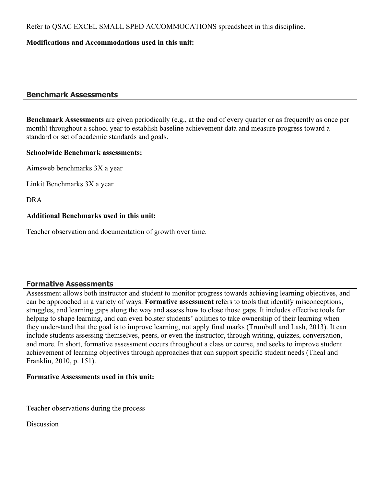Refer to QSAC EXCEL SMALL SPED ACCOMMOCATIONS spreadsheet in this discipline.

## **Modifications and Accommodations used in this unit:**

## **Benchmark Assessments**

**Benchmark Assessments** are given periodically (e.g., at the end of every quarter or as frequently as once per month) throughout a school year to establish baseline achievement data and measure progress toward a standard or set of academic standards and goals.

#### **Schoolwide Benchmark assessments:**

Aimsweb benchmarks 3X a year

Linkit Benchmarks 3X a year

DRA

#### **Additional Benchmarks used in this unit:**

Teacher observation and documentation of growth over time.

## **Formative Assessments**

Assessment allows both instructor and student to monitor progress towards achieving learning objectives, and can be approached in a variety of ways. **Formative assessment** refers to tools that identify misconceptions, struggles, and learning gaps along the way and assess how to close those gaps. It includes effective tools for helping to shape learning, and can even bolster students' abilities to take ownership of their learning when they understand that the goal is to improve learning, not apply final marks (Trumbull and Lash, 2013). It can include students assessing themselves, peers, or even the instructor, through writing, quizzes, conversation, and more. In short, formative assessment occurs throughout a class or course, and seeks to improve student achievement of learning objectives through approaches that can support specific student needs (Theal and Franklin, 2010, p. 151).

#### **Formative Assessments used in this unit:**

Teacher observations during the process

Discussion